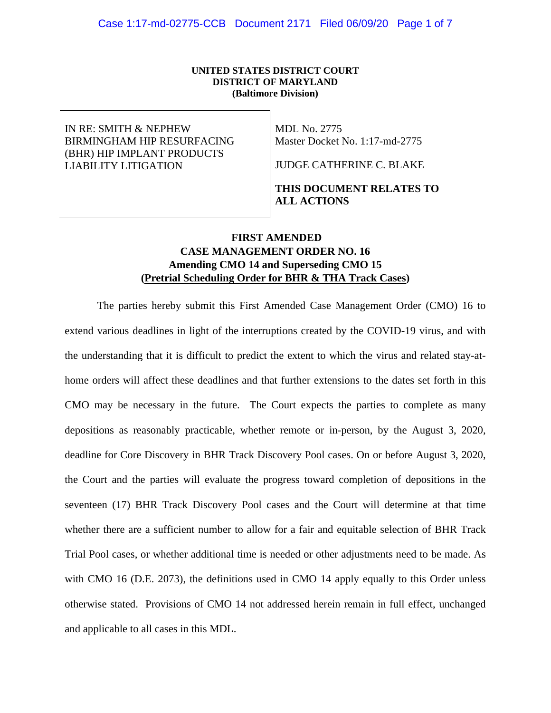#### **UNITED STATES DISTRICT COURT DISTRICT OF MARYLAND (Baltimore Division)**

### IN RE: SMITH & NEPHEW BIRMINGHAM HIP RESURFACING (BHR) HIP IMPLANT PRODUCTS LIABILITY LITIGATION

MDL No. 2775 Master Docket No. 1:17-md-2775

JUDGE CATHERINE C. BLAKE

# **THIS DOCUMENT RELATES TO ALL ACTIONS**

# **FIRST AMENDED CASE MANAGEMENT ORDER NO. 16 Amending CMO 14 and Superseding CMO 15 (Pretrial Scheduling Order for BHR & THA Track Cases)**

The parties hereby submit this First Amended Case Management Order (CMO) 16 to extend various deadlines in light of the interruptions created by the COVID-19 virus, and with the understanding that it is difficult to predict the extent to which the virus and related stay-athome orders will affect these deadlines and that further extensions to the dates set forth in this CMO may be necessary in the future. The Court expects the parties to complete as many depositions as reasonably practicable, whether remote or in-person, by the August 3, 2020, deadline for Core Discovery in BHR Track Discovery Pool cases. On or before August 3, 2020, the Court and the parties will evaluate the progress toward completion of depositions in the seventeen (17) BHR Track Discovery Pool cases and the Court will determine at that time whether there are a sufficient number to allow for a fair and equitable selection of BHR Track Trial Pool cases, or whether additional time is needed or other adjustments need to be made. As with CMO 16 (D.E. 2073), the definitions used in CMO 14 apply equally to this Order unless otherwise stated. Provisions of CMO 14 not addressed herein remain in full effect, unchanged and applicable to all cases in this MDL.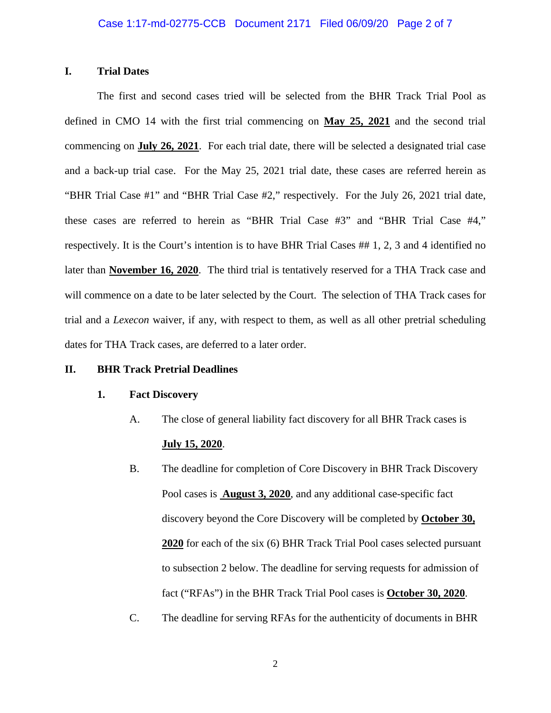### **I. Trial Dates**

The first and second cases tried will be selected from the BHR Track Trial Pool as defined in CMO 14 with the first trial commencing on **May 25, 2021** and the second trial commencing on **July 26, 2021**. For each trial date, there will be selected a designated trial case and a back-up trial case. For the May 25, 2021 trial date, these cases are referred herein as "BHR Trial Case #1" and "BHR Trial Case #2," respectively. For the July 26, 2021 trial date, these cases are referred to herein as "BHR Trial Case #3" and "BHR Trial Case #4," respectively. It is the Court's intention is to have BHR Trial Cases ## 1, 2, 3 and 4 identified no later than **November 16, 2020**. The third trial is tentatively reserved for a THA Track case and will commence on a date to be later selected by the Court. The selection of THA Track cases for trial and a *Lexecon* waiver, if any, with respect to them, as well as all other pretrial scheduling dates for THA Track cases, are deferred to a later order.

#### **II. BHR Track Pretrial Deadlines**

#### **1. Fact Discovery**

- A. The close of general liability fact discovery for all BHR Track cases is **July 15, 2020**.
- B. The deadline for completion of Core Discovery in BHR Track Discovery Pool cases is **August 3, 2020**, and any additional case-specific fact discovery beyond the Core Discovery will be completed by **October 30, 2020** for each of the six (6) BHR Track Trial Pool cases selected pursuant to subsection 2 below. The deadline for serving requests for admission of fact ("RFAs") in the BHR Track Trial Pool cases is **October 30, 2020**.
- C. The deadline for serving RFAs for the authenticity of documents in BHR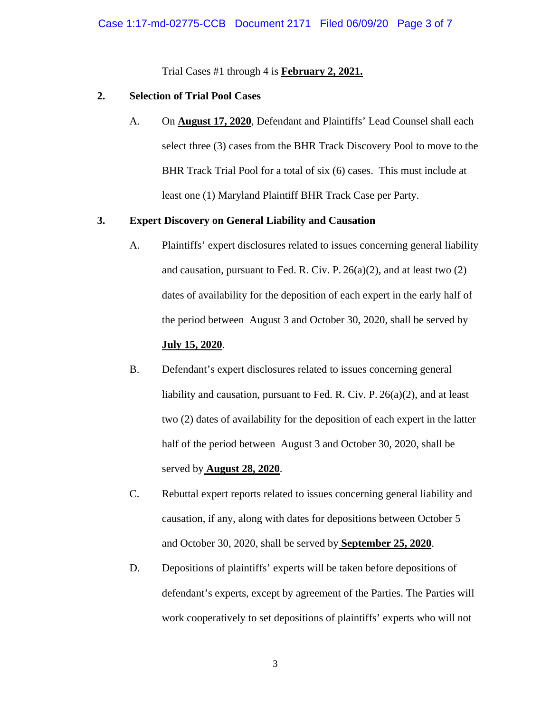Trial Cases #1 through 4 is **February 2, 2021.** 

## **2. Selection of Trial Pool Cases**

A. On **August 17, 2020**, Defendant and Plaintiffs' Lead Counsel shall each select three (3) cases from the BHR Track Discovery Pool to move to the BHR Track Trial Pool for a total of six (6) cases. This must include at least one (1) Maryland Plaintiff BHR Track Case per Party.

# **3. Expert Discovery on General Liability and Causation**

- A. Plaintiffs' expert disclosures related to issues concerning general liability and causation, pursuant to Fed. R. Civ. P.  $26(a)(2)$ , and at least two  $(2)$ dates of availability for the deposition of each expert in the early half of the period between August 3 and October 30, 2020, shall be served by **July 15, 2020**.
- B. Defendant's expert disclosures related to issues concerning general liability and causation, pursuant to Fed. R. Civ. P. 26(a)(2), and at least two (2) dates of availability for the deposition of each expert in the latter half of the period between August 3 and October 30, 2020, shall be served by **August 28, 2020**.
- C. Rebuttal expert reports related to issues concerning general liability and causation, if any, along with dates for depositions between October 5 and October 30, 2020, shall be served by **September 25, 2020**.
- D. Depositions of plaintiffs' experts will be taken before depositions of defendant's experts, except by agreement of the Parties. The Parties will work cooperatively to set depositions of plaintiffs' experts who will not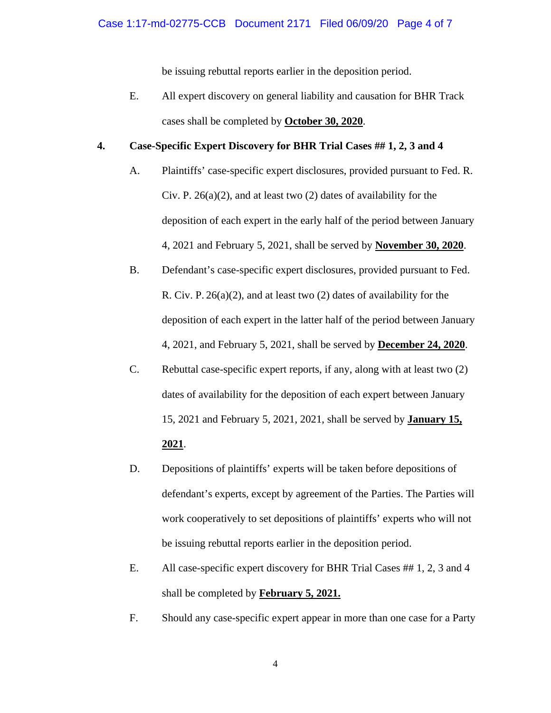be issuing rebuttal reports earlier in the deposition period.

E. All expert discovery on general liability and causation for BHR Track cases shall be completed by **October 30, 2020**.

# **4. Case-Specific Expert Discovery for BHR Trial Cases ## 1, 2, 3 and 4**

- A. Plaintiffs' case-specific expert disclosures, provided pursuant to Fed. R. Civ. P.  $26(a)(2)$ , and at least two  $(2)$  dates of availability for the deposition of each expert in the early half of the period between January 4, 2021 and February 5, 2021, shall be served by **November 30, 2020**.
- B. Defendant's case-specific expert disclosures, provided pursuant to Fed. R. Civ. P. 26(a)(2), and at least two (2) dates of availability for the deposition of each expert in the latter half of the period between January 4, 2021, and February 5, 2021, shall be served by **December 24, 2020**.
- C. Rebuttal case-specific expert reports, if any, along with at least two (2) dates of availability for the deposition of each expert between January 15, 2021 and February 5, 2021, 2021, shall be served by **January 15, 2021**.
- D. Depositions of plaintiffs' experts will be taken before depositions of defendant's experts, except by agreement of the Parties. The Parties will work cooperatively to set depositions of plaintiffs' experts who will not be issuing rebuttal reports earlier in the deposition period.
- E. All case-specific expert discovery for BHR Trial Cases ## 1, 2, 3 and 4 shall be completed by **February 5, 2021.**
- F. Should any case-specific expert appear in more than one case for a Party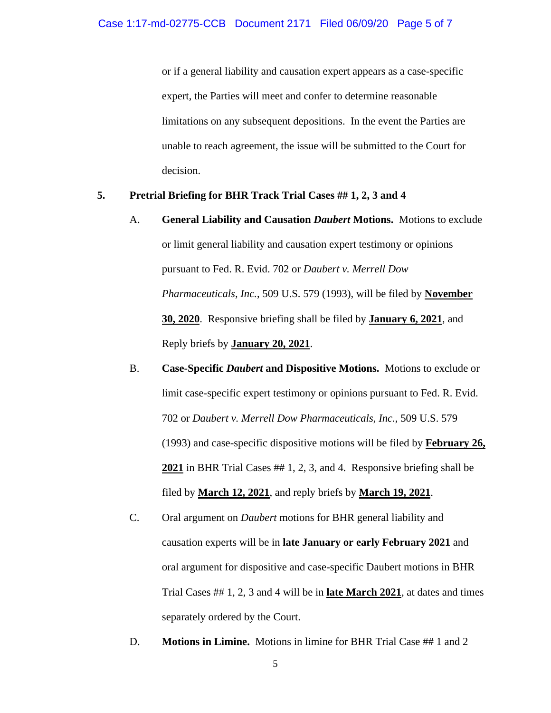or if a general liability and causation expert appears as a case-specific expert, the Parties will meet and confer to determine reasonable limitations on any subsequent depositions. In the event the Parties are unable to reach agreement, the issue will be submitted to the Court for decision.

### **5. Pretrial Briefing for BHR Track Trial Cases ## 1, 2, 3 and 4**

- A. **General Liability and Causation** *Daubert* **Motions.** Motions to exclude or limit general liability and causation expert testimony or opinions pursuant to Fed. R. Evid. 702 or *Daubert v. Merrell Dow Pharmaceuticals, Inc.*, 509 U.S. 579 (1993), will be filed by **November 30, 2020**. Responsive briefing shall be filed by **January 6, 2021**, and Reply briefs by **January 20, 2021**.
- B. **Case-Specific** *Daubert* **and Dispositive Motions.** Motions to exclude or limit case-specific expert testimony or opinions pursuant to Fed. R. Evid. 702 or *Daubert v. Merrell Dow Pharmaceuticals, Inc.*, 509 U.S. 579 (1993) and case-specific dispositive motions will be filed by **February 26, 2021** in BHR Trial Cases ## 1, 2, 3, and 4. Responsive briefing shall be filed by **March 12, 2021**, and reply briefs by **March 19, 2021**.
- C. Oral argument on *Daubert* motions for BHR general liability and causation experts will be in **late January or early February 2021** and oral argument for dispositive and case-specific Daubert motions in BHR Trial Cases ## 1, 2, 3 and 4 will be in **late March 2021**, at dates and times separately ordered by the Court.
- D. **Motions in Limine.** Motions in limine for BHR Trial Case ## 1 and 2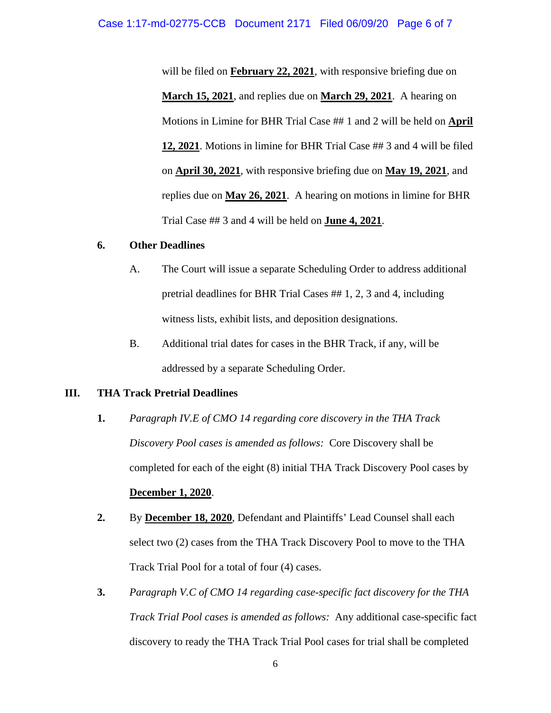will be filed on **February 22, 2021**, with responsive briefing due on **March 15, 2021**, and replies due on **March 29, 2021**. A hearing on Motions in Limine for BHR Trial Case ## 1 and 2 will be held on **April 12, 2021**. Motions in limine for BHR Trial Case ## 3 and 4 will be filed on **April 30, 2021**, with responsive briefing due on **May 19, 2021**, and replies due on **May 26, 2021**. A hearing on motions in limine for BHR Trial Case ## 3 and 4 will be held on **June 4, 2021**.

#### **6. Other Deadlines**

- A. The Court will issue a separate Scheduling Order to address additional pretrial deadlines for BHR Trial Cases ## 1, 2, 3 and 4, including witness lists, exhibit lists, and deposition designations.
- B. Additional trial dates for cases in the BHR Track, if any, will be addressed by a separate Scheduling Order.

### **III. THA Track Pretrial Deadlines**

- **1.** *Paragraph IV.E of CMO 14 regarding core discovery in the THA Track Discovery Pool cases is amended as follows:* Core Discovery shall be completed for each of the eight (8) initial THA Track Discovery Pool cases by **December 1, 2020**.
- **2.** By **December 18, 2020**, Defendant and Plaintiffs' Lead Counsel shall each select two (2) cases from the THA Track Discovery Pool to move to the THA Track Trial Pool for a total of four (4) cases.
- **3.** *Paragraph V.C of CMO 14 regarding case-specific fact discovery for the THA Track Trial Pool cases is amended as follows:* Any additional case-specific fact discovery to ready the THA Track Trial Pool cases for trial shall be completed